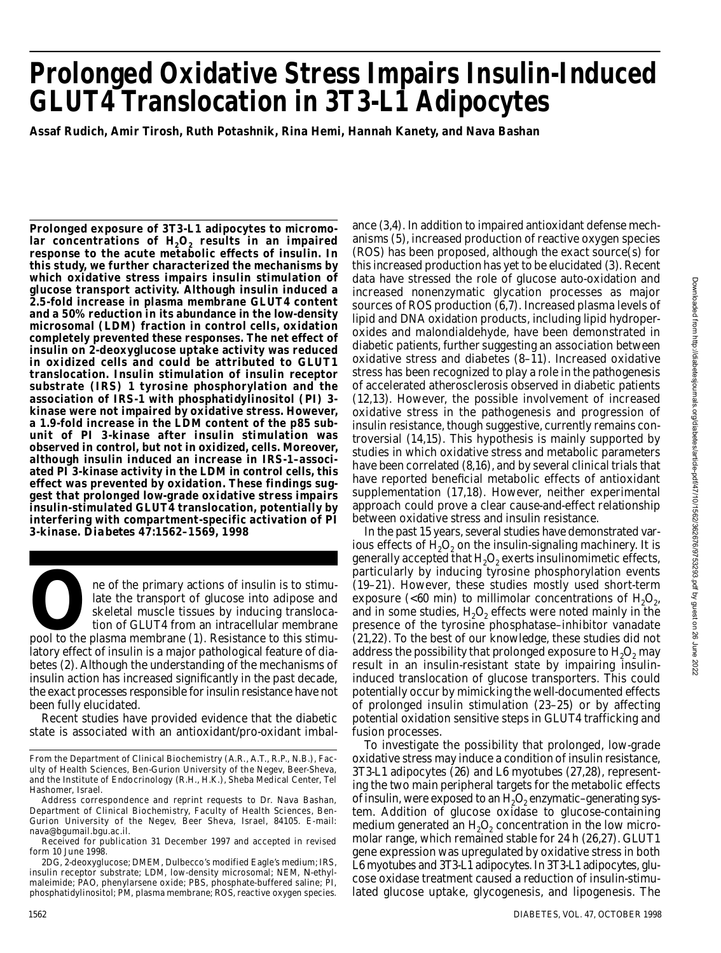# **Prolonged Oxidative Stress Impairs Insulin-Induced GLUT4 Translocation in 3T3-L1 Adipocytes**

**Assaf Rudich, Amir Tirosh, Ruth Potashnik, Rina Hemi, Hannah Kanety, and Nava Bashan**

**Prolonged exposure of 3T3-L1 adipocytes to micromolar concentrations of H2O<sup>2</sup> results in an impaired response to the acute metabolic effects of insulin. In this study, we further characterized the mechanisms by which oxidative stress impairs insulin stimulation of glucose transport activity. Although insulin induced a 2.5-fold increase in plasma membrane GLUT4 content and a 50% reduction in its abundance in the low-density microsomal (LDM) fraction in control cells, oxidation completely prevented these responses. The net effect of insulin on 2-deoxyglucose uptake activity was reduced in oxidized cells and could be attributed to GLUT1 translocation. Insulin stimulation of insulin receptor substrate (IRS) 1 tyrosine phosphorylation and the association of IRS-1 with phosphatidylinositol (PI) 3 kinase were not impaired by oxidative stress. However, a 1.9-fold increase in the LDM content of the p85 subunit of PI 3-kinase after insulin stimulation was observed in control, but not in oxidized, cells. Moreover, although insulin induced an increase in IRS-1–associated PI 3-kinase activity in the LDM in control cells, this** effect was prevented by oxidation. These findings sug**gest that prolonged low-grade oxidative stress impairs insulin-stimulated GLUT4 translocation, potentially by interfering with compartment-specific activation of PI 3-kinase.** *D i a b e t e s* **47:1562–1569, 1998**

ne of the primary actions of insulin is to stimu-<br>late the transport of glucose into adipose and<br>skeletal muscle tissues by inducing transloca-<br>tion of GLUT4 from an intracellular membrane<br>pool to the plasma membrane (1). ne of the primary actions of insulin is to stimulate the transport of glucose into adipose and skeletal muscle tissues by inducing translocation of GLUT4 from an intracellular membrane latory effect of insulin is a major pathological feature of diabetes (2). Although the understanding of the mechanisms of insulin action has increased significantly in the past decade, the exact processes responsible for insulin resistance have not been fully elucidated.

Recent studies have provided evidence that the diabetic state is associated with an antioxidant/pro-oxidant imbal-

2DG, 2-deoxyglucose; DMEM, Dulbecco's modified Eagle's medium; IRS, insulin receptor substrate; LDM, low-density microsomal; NEM, N-ethylmaleimide; PAO, phenylarsene oxide; PBS, phosphate-buffered saline; PI, phosphatidylinositol; PM, plasma membrane; ROS, reactive oxygen species.

anisms (5), increased production of reactive oxygen species (ROS) has been proposed, although the exact source(s) for this increased production has yet to be elucidated (3). Recent data have stressed the role of glucose auto-oxidation and increased nonenzymatic glycation processes as major sources of ROS production (6,7). Increased plasma levels of lipid and DNA oxidation products, including lipid hydroperoxides and malondialdehyde, have been demonstrated in diabetic patients, further suggesting an association between oxidative stress and diabetes (8–11). Increased oxidative stress has been recognized to play a role in the pathogenesis of accelerated atherosclerosis observed in diabetic patients (12,13). However, the possible involvement of increased oxidative stress in the pathogenesis and progression of insulin resistance, though suggestive, currently remains controversial (14,15). This hypothesis is mainly supported by studies in which oxidative stress and metabolic parameters have been correlated (8,16), and by several clinical trials that have reported beneficial metabolic effects of antioxidant supplementation (17,18). However, neither experimental approach could prove a clear cause-and-effect relationship between oxidative stress and insulin resistance.

ance (3,4). In addition to impaired antioxidant defense mech-

In the past 15 years, several studies have demonstrated various effects of  $H_2O_2$  on the insulin-signaling machinery. It is generally accepted that  $H_2O_2$  exerts insulinomimetic effects, particularly by inducing tyrosine phosphorylation events (19–21). However, these studies mostly used short-term exposure (<60 min) to millimolar concentrations of  $H_2O_{2d}$ and in some studies,  ${\sf H_2O_2}$  effects were noted mainly in the presence of the tyrosine phosphatase–inhibitor vanadate (21,22). To the best of our knowledge, these studies did not address the possibility that prolonged exposure to  $H_2O_2$  may result in an insulin-resistant state by impairing insulininduced translocation of glucose transporters. This could potentially occur by mimicking the well-documented effects of prolonged insulin stimulation (23–25) or by affecting potential oxidation sensitive steps in GLUT4 trafficking and fusion processes.

To investigate the possibility that prolonged, low-grade oxidative stress may induce a condition of insulin resistance, 3T3-L1 adipocytes (26) and L6 myotubes (27,28), representing the two main peripheral targets for the metabolic effects of insulin, were exposed to an  $\rm H_2O_2$  enzymatic–generating system. Addition of glucose oxidase to glucose-containing medium generated an  $\rm H_2O_2$  concentration in the low micromolar range, which remained stable for 24 h (26,27). GLUT1 gene expression was upregulated by oxidative stress in both L6 myotubes and 3T3-L1 adipocytes. In 3T3-L1 adipocytes, glucose oxidase treatment caused a reduction of insulin-stimulated glucose uptake, glycogenesis, and lipogenesis. The

From the Department of Clinical Biochemistry (A.R., A.T., R.P., N.B.), Faculty of Health Sciences, Ben-Gurion University of the Negev, Beer-Sheva, and the Institute of Endocrinology (R.H., H.K.), Sheba Medical Center, Tel Hashomer, Israel.

Address correspondence and reprint requests to Dr. Nava Bashan, Department of Clinical Biochemistry, Faculty of Health Sciences, Ben-Gurion University of the Negev, Beer Sheva, Israel, 84105. E-mail: n ava@bgumail.bgu.ac.il.

Received for publication 31 December 1997 and accepted in revised form 10 June 1998.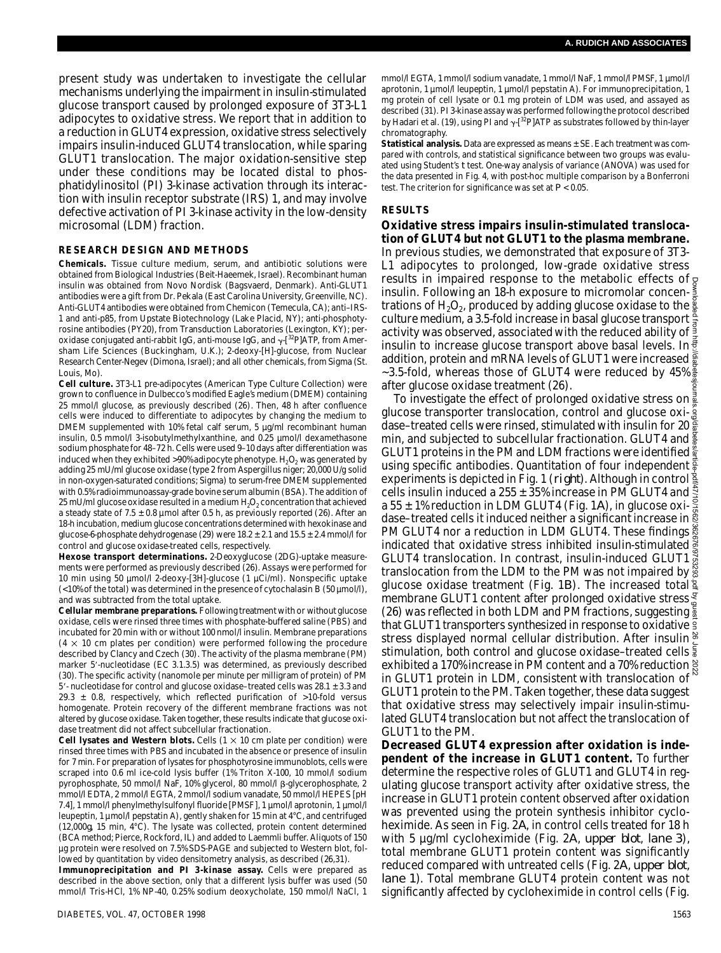present study was undertaken to investigate the cellular mechanisms underlying the impairment in insulin-stimulated glucose transport caused by prolonged exposure of 3T3-L1 adipocytes to oxidative stress. We report that in addition to a reduction in GLUT4 expression, oxidative stress selectively impairs insulin-induced GLUT4 translocation, while sparing GLUT1 translocation. The major oxidation-sensitive step under these conditions may be located distal to phosphatidylinositol (PI) 3-kinase activation through its interaction with insulin receptor substrate (IRS) 1, and may involve defective activation of PI 3-kinase activity in the low-density microsomal (LDM) fraction.

### **RESEARCH DESIGN AND METHODS**

**Chemicals.** Tissue culture medium, serum, and antibiotic solutions were obtained from Biological Industries (Beit-Haeemek, Israel). Recombinant human insulin was obtained from Novo Nordisk (Bagsvaerd, Denmark). Anti-GLUT1 antibodies were a gift from Dr. Pekala (East Carolina University, Greenville, NC). Anti-GLUT4 antibodies were obtained from Chemicon (Temecula, CA); anti–IRS-1 and anti-p85, from Upstate Biotechnology (Lake Placid, NY); anti-phosphotyrosine antibodies (PY20), from Transduction Laboratories (Lexington, KY); peroxidase conjugated anti-rabbit IgG, anti-mouse IgG, and  $\gamma$ -[<sup>32</sup>P]ATP, from Amersham Life Sciences (Buckingham, U.K.); 2-deoxy-[H]-glucose, from Nuclear Research Center-Negev (Dimona, Israel); and all other chemicals, from Sigma (St. Louis, Mo).

**Cell culture.** 3T3-L1 pre-adipocytes (American Type Culture Collection) were grown to confluence in Dulbecco's modified Eagle's medium (DMEM) containing 25 mmol/l glucose, as previously described (26). Then, 48 h after confluence cells were induced to differentiate to adipocytes by changing the medium to DMEM supplemented with 10% fetal calf serum, 5 µg/ml recombinant human insulin, 0.5 mmol/l 3-isobutylmethylxanthine, and 0.25 µmol/l dexamethasone sodium phosphate for 48–72 h. Cells were used 9–10 days after differentiation was induced when they exhibited >90% adipocyte phenotype.  $H_2O_2$  was generated by adding 25 mU/ml glucose oxidase (type 2 from Aspergillus niger; 20,000 U/g solid in non-oxygen-saturated conditions; Sigma) to serum-free DMEM supplemented with 0.5% radioimmunoassay-grade bovine serum albumin (BSA). The addition of 25 mU/ml glucose oxidase resulted in a medium  $\mathsf{H}_2\mathsf{O}_2$  concentration that achieved a steady state of  $7.5 \pm 0.8$  µmol after 0.5 h, as previously reported (26). After an 18-h incubation, medium glucose concentrations determined with hexokinase and glucose-6-phosphate dehydrogenase (29) were  $18.2 \pm 2.1$  and  $15.5 \pm 2.4$  mmol/l for control and glucose oxidase-treated cells, respectively.

**Hexose transport determinations.** 2-Deoxyglucose (2DG)-uptake measurements were performed as previously described (26). Assays were performed for 10 min using 50 µmol/l 2-deoxy-[3H]-glucose (1 µCi/ml). Nonspecific uptake (<10% of the total) was determined in the presence of cytochalasin B (50 µmol/l), and was subtracted from the total uptake.

**Cellular membrane preparations.** Following treatment with or without glucose oxidase, cells were rinsed three times with phosphate-buffered saline (PBS) and incubated for 20 min with or without 100 nmol/l insulin. Membrane preparations  $(4 \times 10$  cm plates per condition) were performed following the procedure described by Clancy and Czech (30). The activity of the plasma membrane (PM) marker 5'-nucleotidase (EC 3.1.3.5) was determined, as previously described (30). The specific activity (nanomole per minute per milligram of protein) of PM  $5'$ - nucleotidase for control and glucose oxidase–treated cells was 28.1  $\pm$  3.3 and 29.3  $\pm$  0.8, respectively, which reflected purification of >10-fold versus homogenate. Protein recovery of the different membrane fractions was not altered by glucose oxidase. Taken together, these results indicate that glucose oxidase treatment did not affect subcellular fractionation.

**Cell lysates and Western blots.** Cells  $(1 \times 10 \text{ cm})$  plate per condition) were rinsed three times with PBS and incubated in the absence or presence of insulin for 7 min. For preparation of lysates for phosphotyrosine immunoblots, cells were scraped into 0.6 ml ice-cold lysis buffer (1% Triton X-100, 10 mmol/l sodium pyrophosphate, 50 mmol/l NaF, 10% glycerol, 80 mmol/l ß-glycerophosphate, 2 mmol/l EDTA, 2 mmol/l EGTA, 2 mmol/l sodium vanadate, 50 mmol/l HEPES [pH 7.4], 1 mmol/l phenylmethylsulfonyl fluoride [PMSF], 1 µmol/l aprotonin, 1 µmol/l leupeptin, 1 µmol/l pepstatin A), gently shaken for 15 min at 4°C, and centrifuged (12,000g, 15 min, 4°C). The lysate was collected, protein content determined (BCA method; Pierce, Rockford, IL) and added to Laemmli buffer. Aliquots of 150 µg protein were resolved on 7.5% SDS-PAGE and subjected to Western blot, followed by quantitation by video densitometry analysis, as described (26,31).

**Immunoprecipitation and PI 3-kinase assay.** Cells were prepared as described in the above section, only that a different lysis buffer was used (50 mmol/l Tris-HCl, 1% NP-40, 0.25% sodium deoxycholate, 150 mmol/l NaCl, 1 mmol/l EGTA, 1 mmol/l sodium vanadate, 1 mmol/l NaF, 1 mmol/l PMSF, 1 µmol/l aprotonin, 1 µmol/l leupeptin, 1 µmol/l pepstatin A). For immunoprecipitation, 1 mg protein of cell lysate or 0.1 mg protein of LDM was used, and assayed as described (31). PI 3-kinase assay was performed following the protocol described by Hadari et al. (19), using PI and  $\gamma$ -[<sup>32</sup>P] ATP as substrates followed by thin-layer chromatography.

**Statistical analysis.** Data are expressed as means ± SE. Each treatment was compared with controls, and statistical significance between two groups was evaluated using Student's *t* test. One-way analysis of variance (ANOVA) was used for the data presented in Fig. 4, with post-hoc multiple comparison by a Bonferroni test. The criterion for significance was set at *P* < 0.05.

#### **RESULTS**

### **Oxidative stress impairs insulin-stimulated translocation of GLUT4 but not GLUT1 to the plasma membrane.**

In previous studies, we demonstrated that exposure of 3T3- L1 adipocytes to prolonged, low-grade oxidative stress results in impaired response to the metabolic effects of  $\phi$ insulin. Following an 18-h exposure to micromolar concentrations of  ${\sf H}_2{\sf O}_2$ , produced by adding glucose oxidase to the culture medium, a 3.5-fold increase in basal glucose transport  $\frac{a}{5}$ activity was observed, associated with the reduced ability of  $\frac{3}{2}$ insulin to increase glucose transport above basal levels. In  $\frac{1}{3}$ addition, protein and mRNA levels of GLUT1 were increased  $\frac{5}{8}$ ~3.5-fold, whereas those of GLUT4 were reduced by 45% after glucose oxidase treatment (26).

To investigate the effect of prolonged oxidative stress on **a** glucose transporter translocation, control and glucose oxidase–treated cells were rinsed, stimulated with insulin for 20 min, and subjected to subcellular fractionation. GLUT4 and GLUT1 proteins in the PM and LDM fractions were identified  $\frac{8}{3}$ using specific antibodies. Quantitation of four independent  $\frac{5}{8}$ experiments is depicted in Fig. 1 (*right*). Although in control  $\frac{8}{3}$ cells insulin induced a 255  $\pm$  35% increase in PM GLUT4 and  $\ddot{z}$ a 55  $\pm$  1% reduction in LDM GLUT4 (Fig. 1*A*), in glucose oxi- $\frac{3}{2}$ dase–treated cells it induced neither a significant increase in  $\frac{8}{5}$ PM GLUT4 nor a reduction in LDM GLUT4. These findings indicated that oxidative stress inhibited insulin-stimulated  $\frac{3}{2}$ GLUT4 translocation. In contrast, insulin-induced GLUT1  $\frac{3}{62}$ translocation from the LDM to the PM was not impaired by  $\frac{8}{9}$ glucose oxidase treatment (Fig. 1*B*). The increased total membrane GLUT1 content after prolonged oxidative stress $\frac{8}{9}$ (26) was reflected in both LDM and PM fractions, suggesting that GLUT1 transporters synthesized in response to oxidative  $\frac{1}{3}$ stress displayed normal cellular distribution. After insulin<sup>2</sup> stimulation, both control and glucose oxidase-treated cells  $\frac{2}{3}$ exhibited a 170% increase in PM content and a 70% reduction in GLUT1 protein in LDM, consistent with translocation of <sup>8</sup> GLUT1 protein to the PM. Taken together, these data suggest that oxidative stress may selectively impair insulin-stimulated GLUT4 translocation but not affect the translocation of GLUT1 to the PM. Downloaded from http://diabetesjournals.org/diabetes/article-pdf/47/10/1562/362676/9753293.pdf by guest on 26 June 2022

**Decreased GLUT4 expression after oxidation is independent of the increase in GLUT1 content.** To further determine the respective roles of GLUT1 and GLUT4 in regulating glucose transport activity after oxidative stress, the increase in GLUT1 protein content observed after oxidation was prevented using the protein synthesis inhibitor cycloheximide. As seen in Fig. 2*A*, in control cells treated for 18 h with 5 µg/ml cycloheximide (Fig. 2*A*, *upper blot*, *lane 3*) , total membrane GLUT1 protein content was significantly reduced compared with untreated cells (Fig. 2*A*, *upper blot*, *lane 1*). Total membrane GLUT4 protein content was not significantly affected by cycloheximide in control cells (Fig.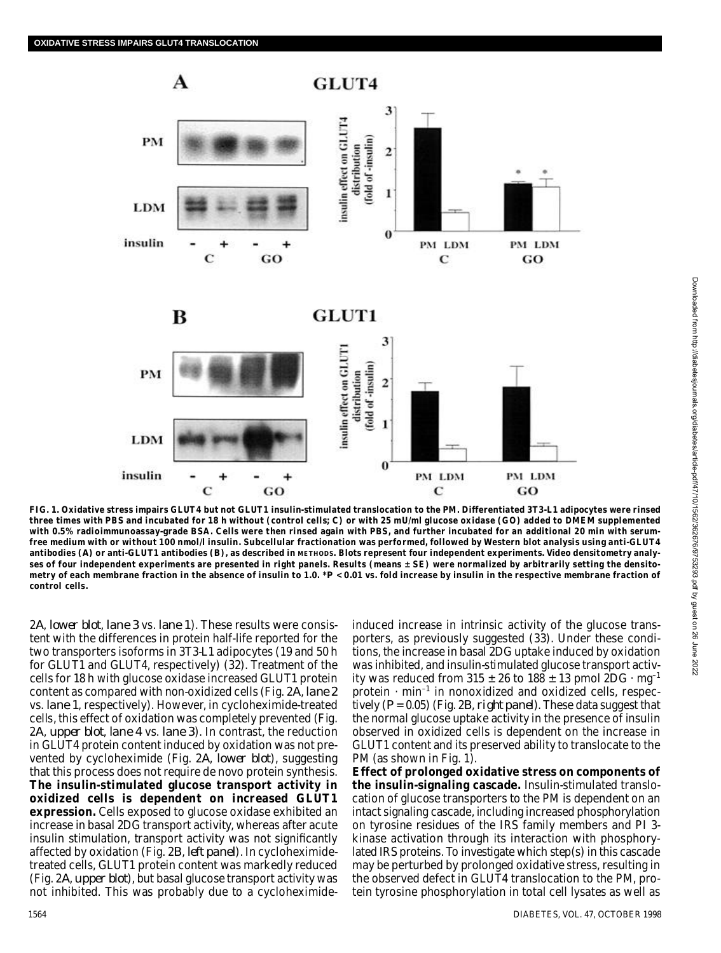

**FIG. 1. Oxidative stress impairs GLUT4 but not GLUT1 insulin-stimulated translocation to the PM. Differentiated 3T3-L1 adipocytes were rinsed three times with PBS and incubated for 18 h without (control cells; C) or with 25 mU/ml glucose oxidase (GO) added to DMEM supplemented with 0.5% radioimmunoassay-grade BSA. Cells were then rinsed again with PBS, and further incubated for an additional 20 min with serumfree medium with or without 100 nmol/l insulin. Subcellular fractionation was performed, followed by Western blot analysis using anti-GLUT4** antibodies (A) or anti-GLUT1 antibodies (B), as described in METHODS. Blots represent four independent experiments. Video densitometry analy**ses of four independent experiments are presented in right panels. Results (means ± SE) were normalized by arbitrarily setting the densitometry of each membrane fraction in the absence of insulin to 1.0. \****P* **< 0.01 vs. fold increase by insulin in the respective membrane fraction of control cells.**

2*A*, *lower blot*, *lane 3* vs. *lane 1*). These results were consistent with the differences in protein half-life reported for the two transporters isoforms in 3T3-L1 adipocytes (19 and 50 h for GLUT1 and GLUT4, respectively) (32). Treatment of the cells for 18 h with glucose oxidase increased GLUT1 protein content as compared with non-oxidized cells (Fig. 2*A*, *lane 2* vs. *lane 1*, respectively). However, in cycloheximide-treated cells, this effect of oxidation was completely prevented (Fig. 2*A*, *upper blot*, *lane 4* vs. *lane 3*). In contrast, the reduction in GLUT4 protein content induced by oxidation was not prevented by cycloheximide (Fig. 2*A*, *lower blot*), suggesting that this process does not require de novo protein synthesis. **The insulin-stimulated glucose transport activity in oxidized cells is dependent on increased GLUT1 expression.** Cells exposed to glucose oxidase exhibited an increase in basal 2DG transport activity, whereas after acute insulin stimulation, transport activity was not significantly affected by oxidation (Fig. 2*B*, *left panel*). In cycloheximidetreated cells, GLUT1 protein content was markedly reduced (Fig. 2*A*, *upper blot*), but basal glucose transport activity was not inhibited. This was probably due to a cycloheximide-

induced increase in intrinsic activity of the glucose transporters, as previously suggested (33). Under these conditions, the increase in basal 2DG uptake induced by oxidation was inhibited, and insulin-stimulated glucose transport activity was reduced from 315  $\pm$  26 to 188  $\pm$  13 pmol 2DG  $\cdot$  mg<sup>-1</sup> protein  $\cdot$  min<sup>-1</sup> in nonoxidized and oxidized cells, respectively (*P* = 0.05) (Fig. 2*B*, *right panel*). These data suggest that the normal glucose uptake activity in the presence of insulin observed in oxidized cells is dependent on the increase in GLUT1 content and its preserved ability to translocate to the PM (as shown in Fig. 1).

**E ffect of prolonged oxidative stress on components of the insulin-signaling cascade.** Insulin-stimulated translocation of glucose transporters to the PM is dependent on an intact signaling cascade, including increased phosphorylation on tyrosine residues of the IRS family members and PI 3 kinase activation through its interaction with phosphorylated IRS proteins. To investigate which step(s) in this cascade may be perturbed by prolonged oxidative stress, resulting in the observed defect in GLUT4 translocation to the PM, protein tyrosine phosphorylation in total cell lysates as well as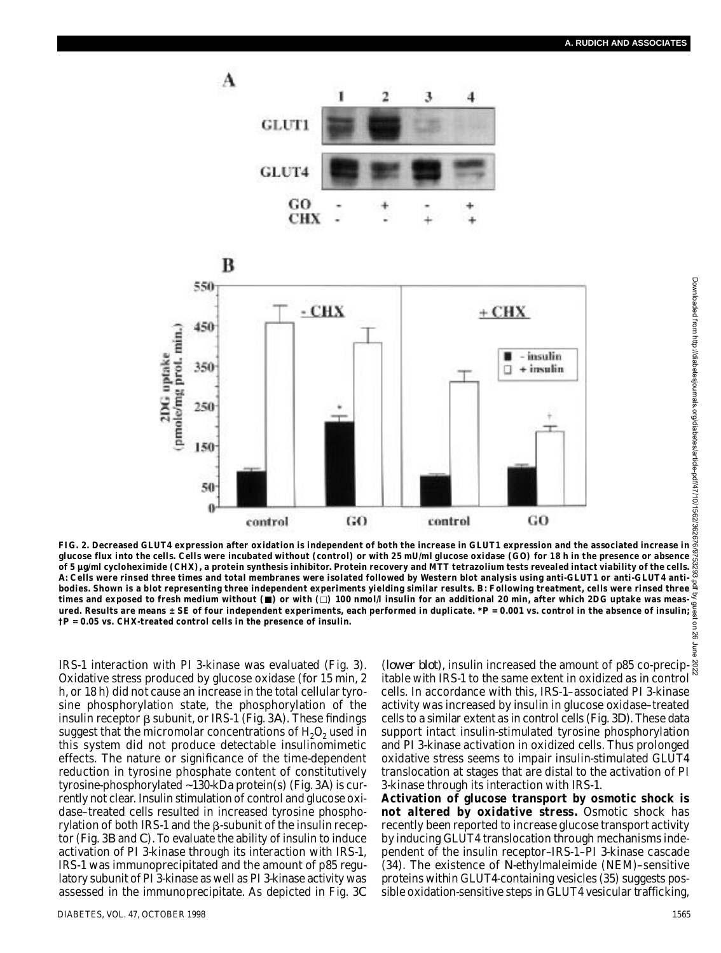



**FIG. 2. Decreased GLUT4 expression after oxidation is independent of both the increase in GLUT1 expression and the associated increase in glucose flux into the cells. Cells were incubated without (control) or with 25 mU/ml glucose oxidase (GO) for 18 h in the presence or absence of 5 µg/ml cycloheximide (CHX), a protein synthesis inhibitor. Protein recovery and MTT tetrazolium tests revealed intact viability of the cells.** *A***: Cells were rinsed three times and total membranes were isolated followed by Western blot analysis using anti-GLUT1 or anti-GLUT4 antibodies. Shown is a blot representing three independent experiments yielding similar results.** *B***: Following treatment, cells were rinsed three times and exposed to fresh medium without ( ) or with ( ) 100 nmol/l insulin for an additional 20 min, after which 2DG uptake was measured. Results are means ± SE of four independent experiments, each performed in duplicate. \****P* **= 0.001 vs. control in the absence of insulin; †***P* **= 0.05 vs. CHX-treated control cells in the presence of insulin.**

IRS-1 interaction with PI 3-kinase was evaluated (Fig. 3). Oxidative stress produced by glucose oxidase (for 15 min, 2 h, or 18 h) did not cause an increase in the total cellular tyrosine phosphorylation state, the phosphorylation of the insulin receptor  $\beta$  subunit, or IRS-1 (Fig. 3A). These findings suggest that the micromolar concentrations of  $H_2O_2$  used in this system did not produce detectable insulinomimetic effects. The nature or significance of the time-dependent reduction in tyrosine phosphate content of constitutively tyrosine-phosphorylated ~130-kDa protein(s) (Fig. 3*A*) is currently not clear. Insulin stimulation of control and glucose oxidase–treated cells resulted in increased tyrosine phosphorylation of both IRS-1 and the  $\beta$ -subunit of the insulin receptor (Fig. 3*B* and *C*). To evaluate the ability of insulin to induce activation of PI 3-kinase through its interaction with IRS-1, IRS-1 was immunoprecipitated and the amount of p85 regulatory subunit of PI 3-kinase as well as PI 3-kinase activity was assessed in the immunoprecipitate. As depicted in Fig. 3*C*

(*lower blot*), insulin increased the amount of p85 co-precipitable with IRS-1 to the same extent in oxidized as in control cells. In accordance with this, IRS-1–associated PI 3-kinase activity was increased by insulin in glucose oxidase–treated cells to a similar extent as in control cells (Fig. 3*D*). These data support intact insulin-stimulated tyrosine phosphorylation and PI 3-kinase activation in oxidized cells. Thus prolonged oxidative stress seems to impair insulin-stimulated GLUT4 translocation at stages that are distal to the activation of PI 3-kinase through its interaction with IRS-1.

**Activation of glucose transport by osmotic shock is not altered by oxidative stress.** Osmotic shock has recently been reported to increase glucose transport activity by inducing GLUT4 translocation through mechanisms independent of the insulin receptor–IRS-1–PI 3-kinase cascade (34). The existence of *N*-ethylmaleimide (NEM)–sensitive proteins within GLUT4-containing vesicles (35) suggests possible oxidation-sensitive steps in GLUT4 vesicular trafficking,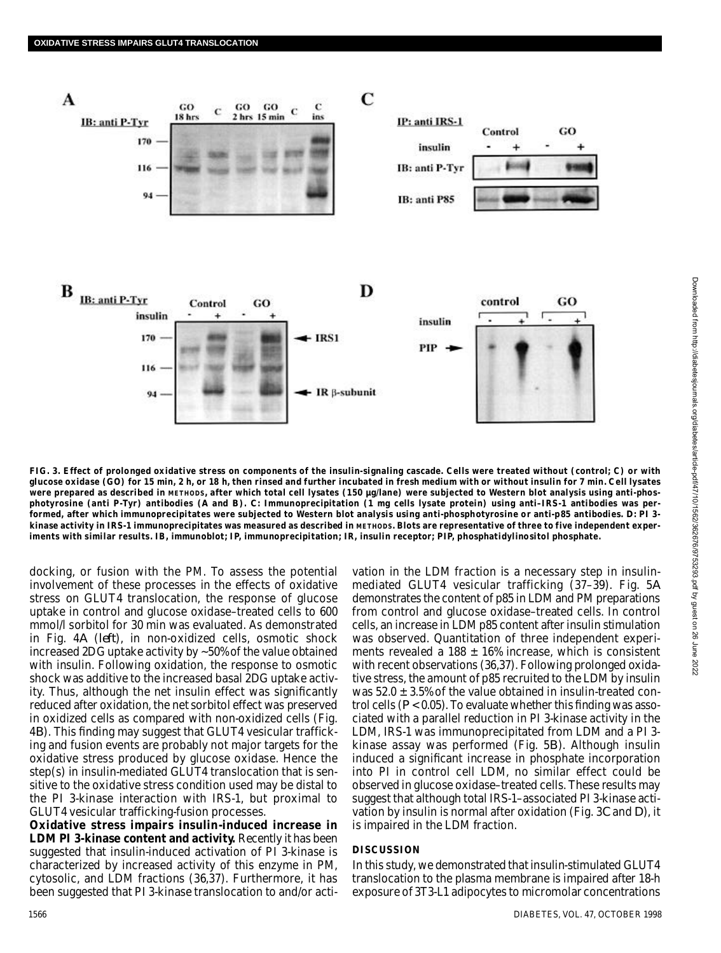

**FIG. 3. Effect of prolonged oxidative stress on components of the insulin-signaling cascade. Cells were treated without (control; C) or with glucose oxidase (GO) for 15 min, 2 h, or 18 h, then rinsed and further incubated in fresh medium with or without insulin for 7 min. Cell lysates** Were prepared as described in METHODS, after which total cell lysates (150 µg/lane) were subjected to Western blot analysis using anti-phos**photyrosine (anti P-Tyr) antibodies (***A* **and** *B***).** *C***: Immunoprecipitation (1 mg cells lysate protein) using anti–IRS-1 antibodies was performed, after which immunoprecipitates were subjected to Western blot analysis using anti-phosphotyrosine or anti-p85 antibodies.** *D***: PI 3** kinase activity in IRS-1 immunoprecipitates was measured as described in METHODS. Blots are representative of three to five independent exper**iments with similar results. IB, immunoblot; IP, immunoprecipitation; IR, insulin receptor; PIP, phosphatidylinositol phosphate.**

docking, or fusion with the PM. To assess the potential involvement of these processes in the effects of oxidative stress on GLUT4 translocation, the response of glucose uptake in control and glucose oxidase–treated cells to 600 mmol/l sorbitol for 30 min was evaluated. As demonstrated in Fig. 4A (left), in non-oxidized cells, osmotic shock increased 2DG uptake activity by ~50% of the value obtained with insulin. Following oxidation, the response to osmotic shock was additive to the increased basal 2DG uptake activity. Thus, although the net insulin effect was significantly reduced after oxidation, the net sorbitol effect was preserved in oxidized cells as compared with non-oxidized cells (Fig. 4*B*). This finding may suggest that GLUT4 vesicular trafficking and fusion events are probably not major targets for the oxidative stress produced by glucose oxidase. Hence the step(s) in insulin-mediated GLUT4 translocation that is sensitive to the oxidative stress condition used may be distal to the PI 3-kinase interaction with IRS-1, but proximal to GLUT4 vesicular trafficking-fusion processes.

**Oxidative stress impairs insulin-induced increase in LDM PI 3-kinase content and activity.** Recently it has been suggested that insulin-induced activation of PI 3-kinase is characterized by increased activity of this enzyme in PM, cytosolic, and LDM fractions (36,37). Furthermore, it has been suggested that PI 3-kinase translocation to and/or acti-

vation in the LDM fraction is a necessary step in insulinmediated GLUT4 vesicular trafficking (37–39). Fig. 5*A* demonstrates the content of p85 in LDM and PM preparations from control and glucose oxidase–treated cells. In control cells, an increase in LDM p85 content after insulin stimulation was observed. Quantitation of three independent experiments revealed a 188  $\pm$  16% increase, which is consistent with recent observations (36,37). Following prolonged oxidative stress, the amount of p85 recruited to the LDM by insulin was  $52.0 \pm 3.5\%$  of the value obtained in insulin-treated control cells (*P* < 0.05). To evaluate whether this finding was associated with a parallel reduction in PI 3-kinase activity in the LDM, IRS-1 was immunoprecipitated from LDM and a PI 3 kinase assay was performed (Fig. 5*B*). Although insulin induced a significant increase in phosphate incorporation into PI in control cell LDM, no similar effect could be observed in glucose oxidase–treated cells. These results may suggest that although total IRS-1–associated PI 3-kinase activation by insulin is normal after oxidation (Fig. 3*C* and *D*), it is impaired in the LDM fraction.

### **DISCUSSION**

In this study, we demonstrated that insulin-stimulated GLUT4 translocation to the plasma membrane is impaired after 18-h exposure of 3T3-L1 adipocytes to micromolar concentrations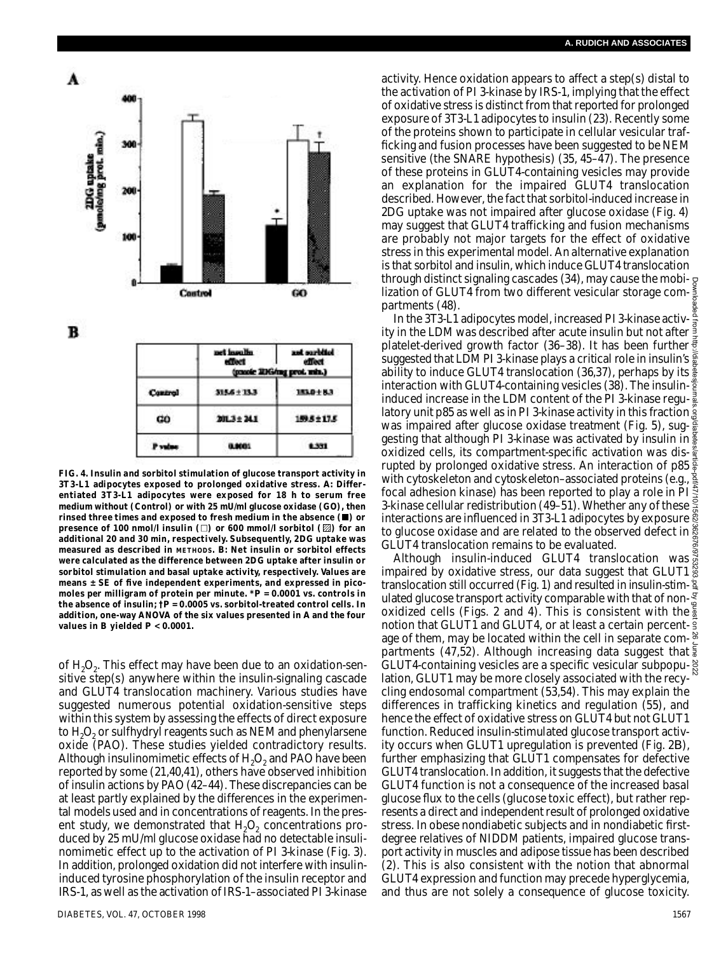





|         | net insulin<br>effect | and partited<br>effect<br>(pacole 2DG/rag prot. min.) |
|---------|-----------------------|-------------------------------------------------------|
| Control | $315.6 \pm 13.3$      | 153.0 ± 8.3                                           |
| GÓ      | 20L3 ± 24.1           | 159.5 ± 17.5                                          |
| P v     | 0.0001                | 1,331                                                 |

**FIG. 4. Insulin and sorbitol stimulation of glucose transport activity in** 3T3-L1 adipocytes exposed to prolonged oxidative stress. A: Differ**entiated 3T3-L1 adipocytes were exposed for 18 h to serum free medium without (Control) or with 25 mU/ml glucose oxidase (GO), then rinsed three times and exposed to fresh medium in the absence ( ) or presence of 100 nmol/l insulin (** $\Box$ **) or 600 mmol/l sorbitol (** $\boxtimes$ **) for an additional 20 and 30 min, respectively. Subsequently, 2DG uptake was** measured as described in METHODS.  $\vec{B}$ : Net insulin or sorbitol effects **were calculated as the difference between 2DG uptake after insulin or sorbitol stimulation and basal uptake activity, respectively. Values are means ± SE of five independent experiments, and expressed in picomoles per milligram of protein per minute. \****P* **= 0.0001 vs. controls in the absence of insulin; †***P* **= 0.0005 vs. sorbitol-treated control cells. In addition, one-way ANOVA of the six values presented in** *A* **and the four values in** *B* **yielded** *P* **< 0.0001.**

of  $H_2O_2$ . This effect may have been due to an oxidation-sensitive step(s) anywhere within the insulin-signaling cascade and GLUT4 translocation machinery. Various studies have suggested numerous potential oxidation-sensitive steps within this system by assessing the effects of direct exposure to  $H_2O_2$  or sulfhydryl reagents such as NEM and phenylarsene oxide (PAO). These studies yielded contradictory results. Although insulinomimetic effects of  $H_2O_2$  and PAO have been reported by some  $(21,40,41)$ , others have observed inhibition of insulin actions by PAO (42–44). These discrepancies can be at least partly explained by the differences in the experimental models used and in concentrations of reagents. In the present study, we demonstrated that  $H_2O_2$  concentrations produced by 25 mU/ml glucose oxidase had no detectable insulinomimetic effect up to the activation of PI 3-kinase (Fig. 3). In addition, prolonged oxidation did not interfere with insulininduced tyrosine phosphorylation of the insulin receptor and IRS-1, as well as the activation of IRS-1–associated PI 3-kinase

activity. Hence oxidation appears to affect a step(s) distal to the activation of PI 3-kinase by IRS-1, implying that the effect of oxidative stress is distinct from that reported for prolonged exposure of 3T3-L1 adipocytes to insulin (23). Recently some of the proteins shown to participate in cellular vesicular trafficking and fusion processes have been suggested to be NEM sensitive (the SNARE hypothesis) (35, 45–47). The presence of these proteins in GLUT4-containing vesicles may provide an explanation for the impaired GLUT4 translocation described. However, the fact that sorbitol-induced increase in 2DG uptake was not impaired after glucose oxidase (Fig. 4) may suggest that GLUT4 trafficking and fusion mechanisms are probably not major targets for the effect of oxidative stress in this experimental model. An alternative explanation is that sorbitol and insulin, which induce GLUT4 translocation through distinct signaling cascades (34), may cause the mobilization of GLUT4 from two different vesicular storage com- $\frac{1}{5}$ partments (48).

In the 3T3-L1 adipocytes model, increased PI 3-kinase activity in the LDM was described after acute insulin but not after  $\frac{3}{2}$ <br>platelet derived areas that for the fact the state insulin but not after  $\frac{3}{2}$ platelet-derived growth factor (36-38). It has been further suggested that LDM PI 3-kinase plays a critical role in insulin's  $\frac{5}{9}$ ability to induce GLUT4 translocation (36,37), perhaps by its interaction with GLUT4-containing vesicles (38). The insulininduced increase in the LDM content of the PI 3-kinase regu- $\frac{3}{2}$ latory unit p85 as well as in PI 3-kinase activity in this fraction g was impaired after glucose oxidase treatment (Fig. 5), sug- $\frac{8}{9}$ gesting that although PI 3-kinase was activated by insulin in oxidized cells, its compartment-specific activation was disrupted by prolonged oxidative stress. An interaction of p85 $\frac{2}{9}$ with cytoskeleton and cytoskeleton–associated proteins (e.g., focal adhesion kinase) has been reported to play a role in PI 3-kinase cellular redistribution (49–51). Whether any of these  $\bar{\bar{\mathbb{R}}}$ interactions are influenced in 3T3-L1 adipocytes by exposure to glucose oxidase and are related to the observed defect in GLUT4 translocation remains to be evaluated. Downloaded from http://diabetesjournals.org/diabetes/article-pdf/47/10/1562/362676/9753293.pdf by guest on 26 June 2022

Although insulin-induced GLUT4 translocation was impaired by oxidative stress, our data suggest that GLUT1 translocation still occurred (Fig. 1) and resulted in insulin-stim-  $\frac{2}{3}$ ulated glucose transport activity comparable with that of nonoxidized cells (Figs. 2 and 4). This is consistent with the notion that GLUT1 and GLUT4, or at least a certain percent- $\frac{2}{3}$ age of them, may be located within the cell in separate compartments (47,52). Although increasing data suggest that  $\frac{2}{3}$ GLUT4-containing vesicles are a specific vesicular subpopulation, GLUT1 may be more closely associated with the recycling endosomal compartment (53,54). This may explain the differences in trafficking kinetics and regulation (55), and hence the effect of oxidative stress on GLUT4 but not GLUT1 function. Reduced insulin-stimulated glucose transport activity occurs when GLUT1 upregulation is prevented (Fig. 2*B*) , further emphasizing that GLUT1 compensates for defective GLUT4 translocation. In addition, it suggests that the defective GLUT4 function is not a consequence of the increased basal glucose flux to the cells (glucose toxic effect), but rather represents a direct and independent result of prolonged oxidative stress. In obese nondiabetic subjects and in nondiabetic firstdegree relatives of NIDDM patients, impaired glucose transport activity in muscles and adipose tissue has been described (2). This is also consistent with the notion that abnormal GLUT4 expression and function may precede hyperglycemia, and thus are not solely a consequence of glucose toxicity.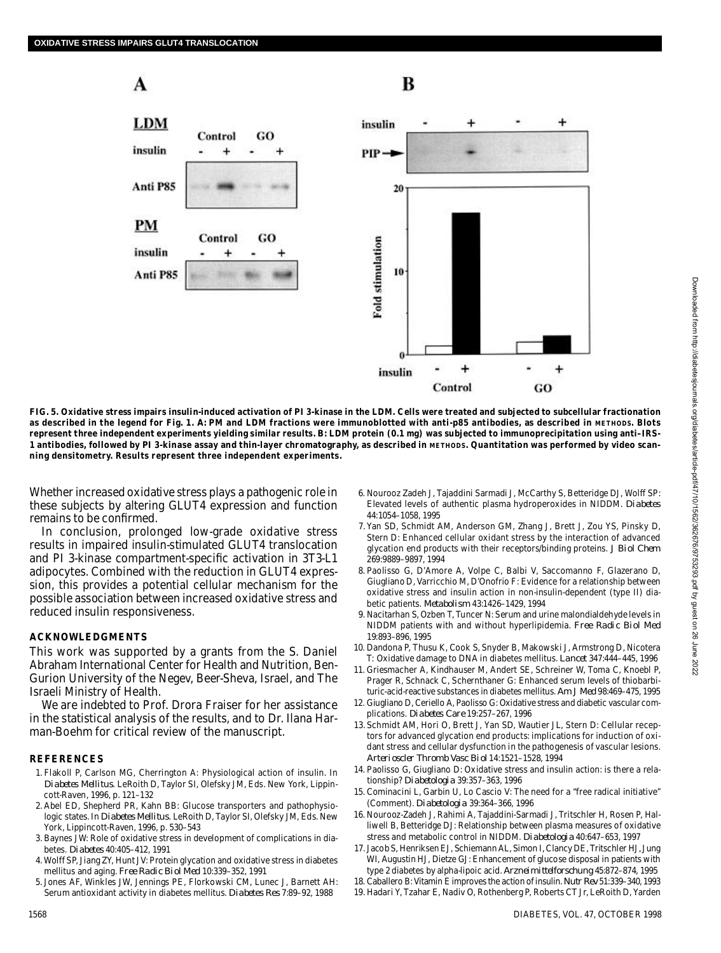# A

## B





**FIG. 5. Oxidative stress impairs insulin-induced activation of PI 3-kinase in the LDM. Cells were treated and subjected to subcellular fractionation** as described in the legend for Fig. 1. A: PM and LDM fractions were immunoblotted with anti-p85 antibodies, as described in METHODS. Blots **represent three independent experiments yielding similar results.** *B***: LDM protein (0.1 mg) was subjected to immunoprecipitation using anti–IRS-**1 antibodies, followed by PI 3-kinase assay and thin-layer chromatography, as described in METHODS. Quantitation was performed by video scan**ning densitometry. Results represent three independent experiments.**

Whether increased oxidative stress plays a pathogenic role in these subjects by altering GLUT4 expression and function remains to be confirmed.

In conclusion, prolonged low-grade oxidative stress results in impaired insulin-stimulated GLUT4 translocation and PI 3-kinase compartment-specific activation in 3T3-L1 adipocytes. Combined with the reduction in GLUT4 expression, this provides a potential cellular mechanism for the possible association between increased oxidative stress and reduced insulin responsiveness.

#### **A C K N O W L E D G M E N T S**

This work was supported by a grants from the S. Daniel Abraham International Center for Health and Nutrition, Ben-Gurion University of the Negev, Beer-Sheva, Israel, and The Israeli Ministry of Health.

We are indebted to Prof. Drora Fraiser for her assistance in the statistical analysis of the results, and to Dr. Ilana Harman-Boehm for critical review of the manuscript.

#### **R E F E R E N C E S**

- 1 . Flakoll P, Carlson MG, Cherrington A: Physiological action of insulin. In *D i abetes Mellitus*. LeRoith D, Taylor SI, Olefsky JM, Eds. New York, Lippincott-Raven, 1996, p. 121–132
- 2 . Abel ED, Shepherd PR, Kahn BB: Glucose transporters and pathophysiologic states. In *Diabetes Mellitus*. LeRoith D, Taylor SI, Olefsky JM, Eds. New York, Lippincott-Raven, 1996, p. 530–543
- 3 . Baynes JW: Role of oxidative stress in development of complications in diabetes. *Diabetes* 40:405-412, 1991
- 4 . Wolff SP, Jiang ZY, Hunt JV: Protein glycation and oxidative stress in diabetes mellitus and aging. *Free Radic Biol Med* 10:339–352, 1991
- 5 . Jones AF, Winkles JW, Jennings PE, Florkowski CM, Lunec J, Barnett AH: Serum antioxidant activity in diabetes mellitus. *Diabetes Res* 7:89–92, 1988
- 6 . Nourooz Zadeh J, Tajaddini Sarmadi J, McCarthy S, Betteridge DJ, Wolff SP: Elevated levels of authentic plasma hydroperoxides in NIDDM. Diabetes 44:1054–1058, 1995
- 7 . Yan SD, Schmidt AM, Anderson GM, Zhang J, Brett J, Zou YS, Pinsky D, Stern D: Enhanced cellular oxidant stress by the interaction of advanced glycation end products with their receptors/binding proteins. *J Biol Chem* 269:9889–9897, 1994
- 8 . Paolisso G, D'Amore A, Volpe C, Balbi V, Saccomanno F, Glazerano D, Giugliano D, Varricchio M, D'Onofrio F: Evidence for a relationship between oxidative stress and insulin action in non-insulin-dependent (type II) diabetic patients. *Metabolism* 43:1426-1429, 1994
- 9 . Nacitarhan S, Ozben T, Tuncer N: Serum and urine malondialdehyde levels in NIDDM patients with and without hyperlipidemia. *Free Radic Biol Med* 19:893–896, 1995
- 10. Dandona P, Thusu K, Cook S, Snyder B, Makowski J, Armstrong D, Nicotera T: Oxidative damage to DNA in diabetes mellitus. *Lancet* 347:444-445, 1996
- 11. Griesmacher A, Kindhauser M, Andert SE, Schreiner W, Toma C, Knoebl P, Prager R, Schnack C, Schernthaner G: Enhanced serum levels of thiobarbituric-acid-reactive substances in diabetes mellitus. *Am J Med* 98:469–475, 1995
- 12. Giugliano D, Ceriello A, Paolisso G: Oxidative stress and diabetic vascular complications. *Diabetes Care* 19:257–267, 1996
- 13. Schmidt AM, Hori O, Brett J, Yan SD, Wautier JL, Stern D: Cellular receptors for advanced glycation end products: implications for induction of oxidant stress and cellular dysfunction in the pathogenesis of vascular lesions. *A r t erioscler Thromb Vasc Biol* 14:1521–1528, 1994
- 14. Paolisso G, Giugliano D: Oxidative stress and insulin action: is there a relationship? *Diabetologia* 39:357-363, 1996
- 15. Cominacini L, Garbin U, Lo Cascio V: The need for a "free radical initiative" (Comment). *Diabetologia* 39:364-366, 1996
- 16. Nourooz-Zadeh J, Rahimi A, Tajaddini-Sarmadi J, Tritschler H, Rosen P, Halliwell B, Betteridge DJ: Relationship between plasma measures of oxidative stress and metabolic control in NIDDM. *Diabetologia* 40:647-653, 1997
- 17. Jacob S, Henriksen EJ, Schiemann AL, Simon I, Clancy DE, Tritschler HJ, Jung WI, Augustin HJ, Dietze GJ: Enhancement of glucose disposal in patients with type 2 diabetes by alpha-lipoic acid. *Arznei mittelforschung* 45:872–874, 1995
- 1 8 . Caballero B: Vitamin E improves the action of insulin. *Nutr Rev* 51:339–340, 1993
- 19. Hadari Y, Tzahar E, Nadiv O, Rothenberg P, Roberts CT Jr, LeRoith D, Yarden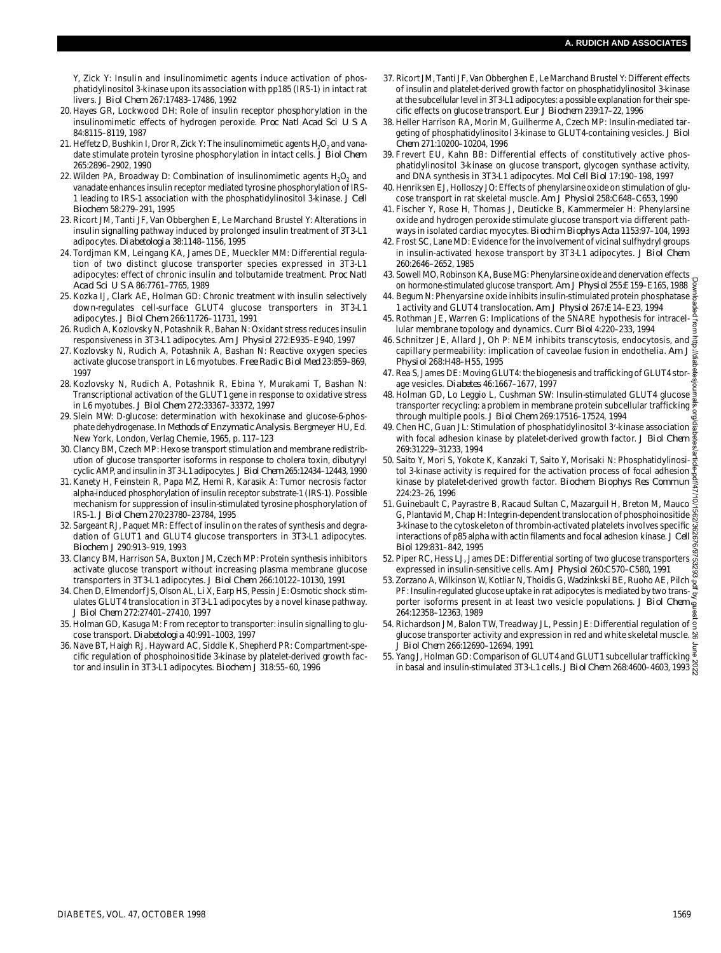Y, Zick Y: Insulin and insulinomimetic agents induce activation of phosphatidylinositol 3-kinase upon its association with pp185 (IRS-1) in intact rat livers. *J Biol Chem* 267:17483–17486, 1992

- 20. Hayes GR, Lockwood DH: Role of insulin receptor phosphorylation in the insulinomimetic effects of hydrogen peroxide. *Proc Natl Acad Sci U S A* 84:8115–8119, 1987
- 21. Heffetz D, Bushkin I, Dror R, Zick Y: The insulinomimetic agents  ${\sf H}_{\mathbf{2}}{\sf O}_{\mathbf{2}}$  and vanadate stimulate protein tyrosine phosphorylation in intact cells. *J Biol Chem* 265:2896–2902, 1990
- 22. Wilden PA, Broadway D: Combination of insulinomimetic agents  ${\sf H}_{\tiny 2} {\sf O}_{\tiny 2}$  and vanadate enhances insulin receptor mediated tyrosine phosphorylation of IRS-1 leading to IRS-1 association with the phosphatidylinositol 3-kinase. *J Cell B i o c h e m* 58:279–291, 1995
- 23. Ricort JM, Tanti JF, Van Obberghen E, Le Marchand Brustel Y: Alterations in insulin signalling pathway induced by prolonged insulin treatment of 3T3-L1 adipocytes. *Diabetologia* 38:1148-1156, 1995
- 24. Tordjman KM, Leingang KA, James DE, Mueckler MM: Differential regulation of two distinct glucose transporter species expressed in 3T3-L1 adipocytes: effect of chronic insulin and tolbutamide treatment. *Proc Natl Acad Sci U S A* 86:7761–7765, 1989
- 25. Kozka IJ, Clark AE, Holman GD: Chronic treatment with insulin selectively down-regulates cell-surface GLUT4 glucose transporters in 3T3-L1 adipocytes. *J Biol Chem* 266:11726–11731, 1991
- 26. Rudich A, Kozlovsky N, Potashnik R, Bahan N: Oxidant stress reduces insulin responsiveness in 3T3-L1 adipocytes. *Am J Physiol* 272:E935–E940, 1997
- 27. Kozlovsky N, Rudich A, Potashnik A, Bashan N: Reactive oxygen species activate glucose transport in L6 myotubes. Free Radic Biol Med 23:859-869, 1997
- 28. Kozlovsky N, Rudich A, Potashnik R, Ebina Y, Murakami T, Bashan N: Transcriptional activation of the GLUT1 gene in response to oxidative stress in L6 myotubes. *J Biol Chem* 272:33367–33372, 1997
- 2 9 . Slein MW: D-glucose: determination with hexokinase and glucose-6-phosphate dehydrogenase. In *Methods of Enzymatic Analysis*. Bergmeyer HU, Ed. New York, London, Verlag Chemie, 1965, p. 117–123
- 3 0 . Clancy BM, Czech MP: Hexose transport stimulation and membrane redistribution of glucose transporter isoforms in response to cholera toxin, dibutyryl cyclic AMP, and insulin in 3T3-L1 adipocytes. *J Biol Chem*2 6 5*:*12434–12443, 1990
- 31. Kanety H, Feinstein R, Papa MZ, Hemi R, Karasik A: Tumor necrosis factor alpha-induced phosphorylation of insulin receptor substrate-1 (IRS-1). Possible mechanism for suppression of insulin-stimulated tyrosine phosphorylation of IRS-1. *J Biol Chem* 270:23780–23784, 1995
- 32. Sargeant RJ, Paquet MR: Effect of insulin on the rates of synthesis and degradation of GLUT1 and GLUT4 glucose transporters in 3T3-L1 adipocytes. *Biochem J* 290:913–919, 1993
- 33. Clancy BM, Harrison SA, Buxton JM, Czech MP: Protein synthesis inhibitors activate glucose transport without increasing plasma membrane glucose transporters in 3T3-L1 adipocytes. *J Biol Chem* 266:10122–10130, 1991
- 3 4 . Chen D, Elmendorf JS, Olson AL, Li X, Earp HS, Pessin JE: Osmotic shock stimulates GLUT4 translocation in 3T3-L1 adipocytes by a novel kinase pathway. *J Biol Chem* 272:27401–27410, 1997
- 35. Holman GD, Kasuga M: From receptor to transporter: insulin signalling to glucose transport. *Diabetologia* 40:991-1003, 1997
- 36. Nave BT, Haigh RJ, Hayward AC, Siddle K, Shepherd PR: Compartment-specific regulation of phosphoinositide 3-kinase by platelet-derived growth factor and insulin in 3T3-L1 adipocytes. *Biochem J* 318:55–60, 1996
- 3 7 . Ricort JM, Tanti JF, Van Obberghen E, Le Marchand Brustel Y: Different effects of insulin and platelet-derived growth factor on phosphatidylinositol 3-kinase at the subcellular level in 3T3-L1 adipocytes: a possible explanation for their specific effects on glucose transport. *Eur J Biochem* 239:17-22, 1996
- 3 8 . Heller Harrison RA, Morin M, Guilherme A, Czech MP: Insulin-mediated targeting of phosphatidylinositol 3-kinase to GLUT4-containing vesicles. *J Biol C h e m* 271:10200–10204, 1996
- 39. Frevert EU, Kahn BB: Differential effects of constitutively active phosphatidylinositol 3-kinase on glucose transport, glycogen synthase activity, and DNA synthesis in 3T3-L1 adipocytes. *Mol Cell Biol* 17:190–198, 1997
- 40. Henriksen EJ, Holloszy JO: Effects of phenylarsine oxide on stimulation of glucose transport in rat skeletal muscle. *Am J Physiol* 258:C648–C653, 1990
- 4 1 . Fischer Y, Rose H, Thomas J, Deuticke B, Kammermeier H: Phenylarsine oxide and hydrogen peroxide stimulate glucose transport via different pathways in isolated cardiac myocytes. *Biochim Biophys Acta* 1153:97–104, 1993
- 4 2 . Frost SC, Lane MD: Evidence for the involvement of vicinal sulfhydryl groups in insulin-activated hexose transport by 3T3-L1 adipocytes. *J Biol Chem* 260:2646–2652, 1985
- 4 3 . Sowell MO, Robinson KA, Buse MG: Phenylarsine oxide and denervation effects on hormone-stimulated glucose transport. *Am J Physiol* 255:E159–E165, 1988
- 4 4 . Begum N: Phenyarsine oxide inhibits insulin-stimulated protein phosphatase 1 activity and GLUT4 translocation. *Am J Physiol* 267:E14–E23, 1994
- 45. Rothman JE, Warren G: Implications of the SNARE hypothesis for intracellular membrane topology and dynamics. *Curr Biol* 4:220–233, 1994
- 46. Schnitzer JE, Allard J, Oh P: NEM inhibits transcytosis, endocytosis, and a capillary permeability: implication of caveolae fusion in endothelia. *Am J P h y siol* 268:H48–H55, 1995
- 47. Rea S, James DE: Moving GLUT4: the biogenesis and trafficking of GLUT4 storage vesicles. *Diabetes* 46:1667–1677, 1997
- 48. Holman GD, Lo Leggio L, Cushman SW: Insulin-stimulated GLUT4 glucose transporter recycling: a problem in membrane protein subcellular trafficking through multiple pools. *J Biol Chem* 269:17516–17524, 1994
- 49. Chen HC, Guan JL: Stimulation of phosphatidylinositol 3'-kinase association  $\frac{\Omega}{\omega}$ with focal adhesion kinase by platelet-derived growth factor. *J Biol Chem* 269:31229–31233, 1994
- 50. Saito Y, Mori S, Yokote K, Kanzaki T, Saito Y, Morisaki N: Phosphatidylinosi- $\frac{1}{62}$ tol 3-kinase activity is required for the activation process of focal adhesion kinase by platelet-derived growth factor. *Biochem Biophys Res Commun* 224:23–26, 1996
- 51. Guinebault C, Payrastre B, Racaud Sultan C, Mazarguil H, Breton M, Mauco S G, Plantavid M, Chap H: Integrin-dependent translocation of phosphoinositide  $\frac{80}{60}$ 3-kinase to the cytoskeleton of thrombin-activated platelets involves specific interactions of p85 alpha with actin filaments and focal adhesion kinase. *J Cell B i o l* 129:831–842, 1995 Downloaded from http://diabetesjournals.org/diabetes/article-pdf/47/10/1562/362676/9753293.pdf by guest on 26 June 2022
- $\frac{BIOI}{D}$  129:00 1-042, 1770<br>5 5 . Piper RC, Hess LJ, James DE: Differential sorting of two glucose transporters  $\frac{S}{N}$ <br>52. Piper RC, Hess LJ, James ... expressed in insulin-sensitive cells. *Am J Physiol* 260:C570–C580, 1991
- $53. Zorzano A$ , Wilkinson W, Kotliar N, Thoidis G, Wadzinkski BE, Ruoho AE, Pilch  $\frac{1}{2}$ **PF: Insulin-regulated glucose uptake in rat adipocytes is mediated by two trans**porter isoforms present in at least two vesicle populations. *J Biol Chem* 264:12358–12363, 1989
- 54. Richardson JM, Balon TW, Treadway JL, Pessin JE: Differential regulation of  $\frac{1}{9}$ glucose transporter activity and expression in red and white skeletal muscle. *J Biol Chem* 266:12690–12694, 1991
- 55. Yang J, Holman GD: Comparison of GLUT4 and GLUT1 subcellular trafficking  $\frac{a}{b}$ in basal and insulin-stimulated 3T3-L1 cells. *J Biol Chem* 268:4600–4603, 1993